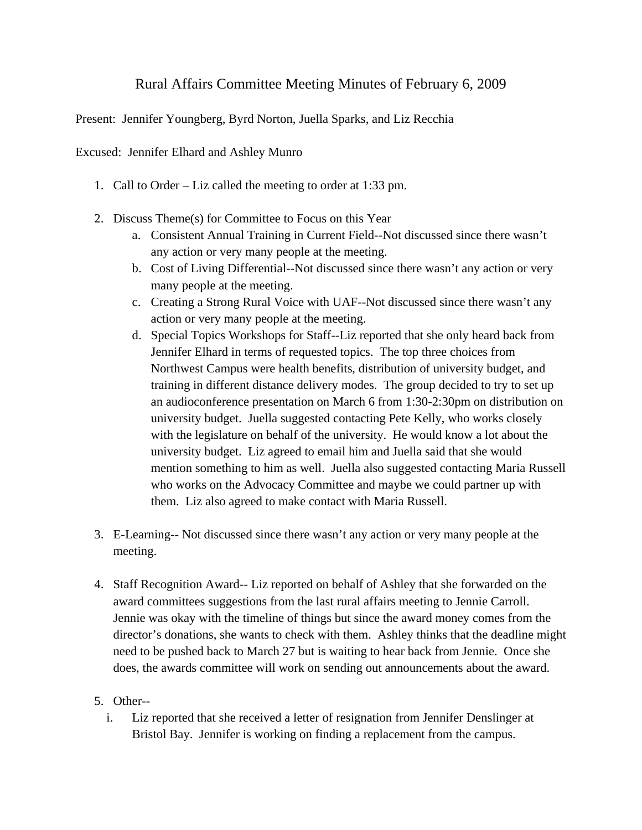## Rural Affairs Committee Meeting Minutes of February 6, 2009

Present: Jennifer Youngberg, Byrd Norton, Juella Sparks, and Liz Recchia

Excused: Jennifer Elhard and Ashley Munro

- 1. Call to Order Liz called the meeting to order at 1:33 pm.
- 2. Discuss Theme(s) for Committee to Focus on this Year
	- a. Consistent Annual Training in Current Field--Not discussed since there wasn't any action or very many people at the meeting.
	- b. Cost of Living Differential--Not discussed since there wasn't any action or very many people at the meeting.
	- c. Creating a Strong Rural Voice with UAF--Not discussed since there wasn't any action or very many people at the meeting.
	- d. Special Topics Workshops for Staff--Liz reported that she only heard back from Jennifer Elhard in terms of requested topics. The top three choices from Northwest Campus were health benefits, distribution of university budget, and training in different distance delivery modes. The group decided to try to set up an audioconference presentation on March 6 from 1:30-2:30pm on distribution on university budget. Juella suggested contacting Pete Kelly, who works closely with the legislature on behalf of the university. He would know a lot about the university budget. Liz agreed to email him and Juella said that she would mention something to him as well. Juella also suggested contacting Maria Russell who works on the Advocacy Committee and maybe we could partner up with them. Liz also agreed to make contact with Maria Russell.
- 3. E-Learning-- Not discussed since there wasn't any action or very many people at the meeting.
- 4. Staff Recognition Award-- Liz reported on behalf of Ashley that she forwarded on the award committees suggestions from the last rural affairs meeting to Jennie Carroll. Jennie was okay with the timeline of things but since the award money comes from the director's donations, she wants to check with them. Ashley thinks that the deadline might need to be pushed back to March 27 but is waiting to hear back from Jennie. Once she does, the awards committee will work on sending out announcements about the award.

## 5. Other--

i. Liz reported that she received a letter of resignation from Jennifer Denslinger at Bristol Bay. Jennifer is working on finding a replacement from the campus.